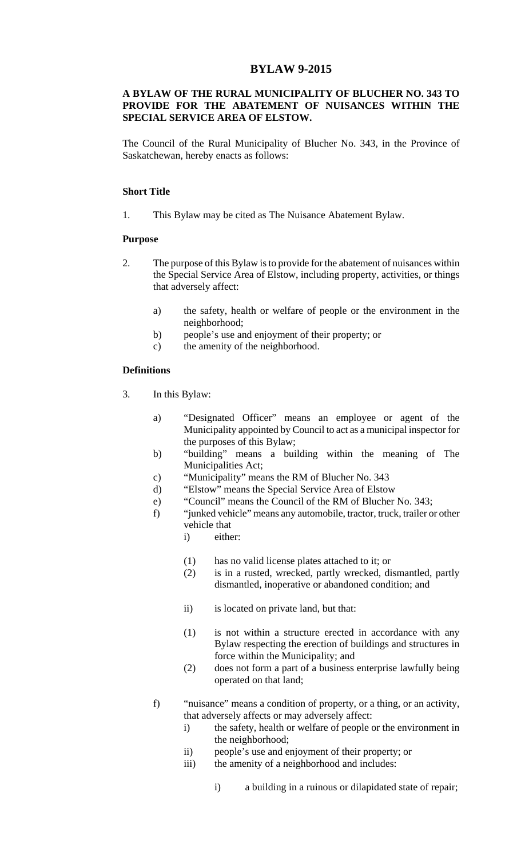## **BYLAW 9-2015**

#### **A BYLAW OF THE RURAL MUNICIPALITY OF BLUCHER NO. 343 TO PROVIDE FOR THE ABATEMENT OF NUISANCES WITHIN THE SPECIAL SERVICE AREA OF ELSTOW.**

The Council of the Rural Municipality of Blucher No. 343, in the Province of Saskatchewan, hereby enacts as follows:

#### **Short Title**

1. This Bylaw may be cited as The Nuisance Abatement Bylaw.

#### **Purpose**

- 2. The purpose of this Bylaw is to provide for the abatement of nuisances within the Special Service Area of Elstow, including property, activities, or things that adversely affect:
	- a) the safety, health or welfare of people or the environment in the neighborhood;
	- b) people's use and enjoyment of their property; or
	- c) the amenity of the neighborhood.

#### **Definitions**

- 3. In this Bylaw:
	- a) "Designated Officer" means an employee or agent of the Municipality appointed by Council to act as a municipal inspector for the purposes of this Bylaw;
	- b) "building" means a building within the meaning of The Municipalities Act;
	- c) "Municipality" means the RM of Blucher No. 343
	- d) "Elstow" means the Special Service Area of Elstow
	- e) "Council" means the Council of the RM of Blucher No. 343;
	- f) "junked vehicle" means any automobile, tractor, truck, trailer or other vehicle that
		- i) either:
		- (1) has no valid license plates attached to it; or
		- (2) is in a rusted, wrecked, partly wrecked, dismantled, partly dismantled, inoperative or abandoned condition; and
		- ii) is located on private land, but that:
		- (1) is not within a structure erected in accordance with any Bylaw respecting the erection of buildings and structures in force within the Municipality; and
		- (2) does not form a part of a business enterprise lawfully being operated on that land;
	- f) "nuisance" means a condition of property, or a thing, or an activity, that adversely affects or may adversely affect:
		- i) the safety, health or welfare of people or the environment in the neighborhood;
		- ii) people's use and enjoyment of their property; or
		- iii) the amenity of a neighborhood and includes:
			- i) a building in a ruinous or dilapidated state of repair;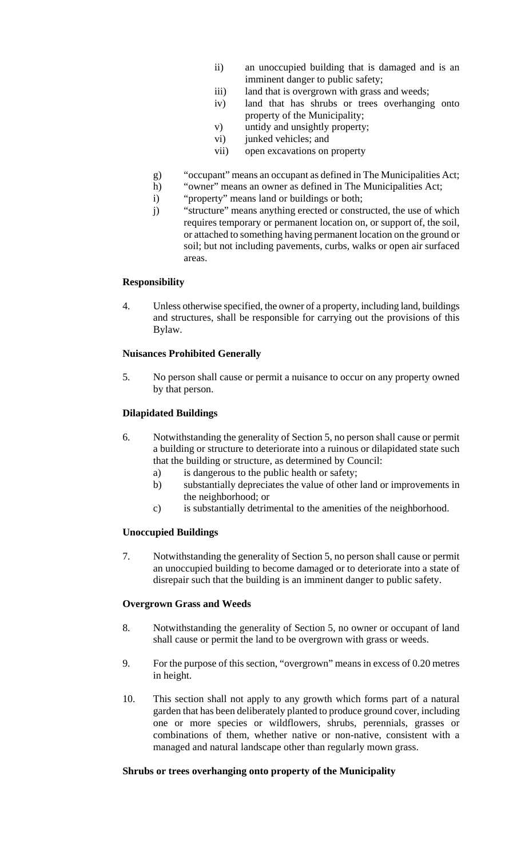- ii) an unoccupied building that is damaged and is an imminent danger to public safety;
- iii) land that is overgrown with grass and weeds;
- iv) land that has shrubs or trees overhanging onto property of the Municipality;
- v) untidy and unsightly property;
- vi) junked vehicles; and
- vii) open excavations on property
- g) "occupant" means an occupant as defined in The Municipalities Act;
- h) "owner" means an owner as defined in The Municipalities Act;
- i) "property" means land or buildings or both;
- j) "structure" means anything erected or constructed, the use of which requires temporary or permanent location on, or support of, the soil, or attached to something having permanent location on the ground or soil; but not including pavements, curbs, walks or open air surfaced areas.

# **Responsibility**

4. Unless otherwise specified, the owner of a property, including land, buildings and structures, shall be responsible for carrying out the provisions of this Bylaw.

# **Nuisances Prohibited Generally**

5. No person shall cause or permit a nuisance to occur on any property owned by that person.

# **Dilapidated Buildings**

- 6. Notwithstanding the generality of Section 5, no person shall cause or permit a building or structure to deteriorate into a ruinous or dilapidated state such that the building or structure, as determined by Council:
	- a) is dangerous to the public health or safety;
	- b) substantially depreciates the value of other land or improvements in the neighborhood; or
	- c) is substantially detrimental to the amenities of the neighborhood.

# **Unoccupied Buildings**

7. Notwithstanding the generality of Section 5, no person shall cause or permit an unoccupied building to become damaged or to deteriorate into a state of disrepair such that the building is an imminent danger to public safety.

## **Overgrown Grass and Weeds**

- 8. Notwithstanding the generality of Section 5, no owner or occupant of land shall cause or permit the land to be overgrown with grass or weeds.
- 9. For the purpose of this section, "overgrown" means in excess of 0.20 metres in height.
- 10. This section shall not apply to any growth which forms part of a natural garden that has been deliberately planted to produce ground cover, including one or more species or wildflowers, shrubs, perennials, grasses or combinations of them, whether native or non-native, consistent with a managed and natural landscape other than regularly mown grass.

## **Shrubs or trees overhanging onto property of the Municipality**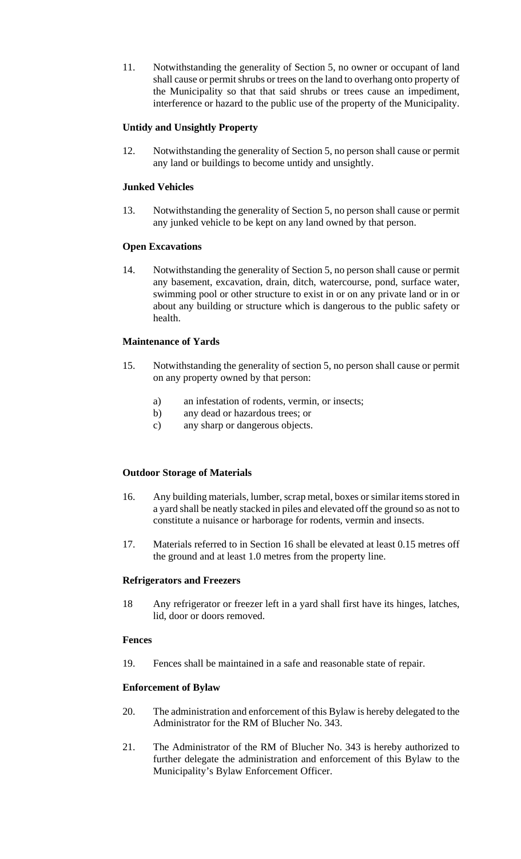11. Notwithstanding the generality of Section 5, no owner or occupant of land shall cause or permit shrubs or trees on the land to overhang onto property of the Municipality so that that said shrubs or trees cause an impediment, interference or hazard to the public use of the property of the Municipality.

# **Untidy and Unsightly Property**

12. Notwithstanding the generality of Section 5, no person shall cause or permit any land or buildings to become untidy and unsightly.

# **Junked Vehicles**

13. Notwithstanding the generality of Section 5, no person shall cause or permit any junked vehicle to be kept on any land owned by that person.

# **Open Excavations**

14. Notwithstanding the generality of Section 5, no person shall cause or permit any basement, excavation, drain, ditch, watercourse, pond, surface water, swimming pool or other structure to exist in or on any private land or in or about any building or structure which is dangerous to the public safety or health.

# **Maintenance of Yards**

- 15. Notwithstanding the generality of section 5, no person shall cause or permit on any property owned by that person:
	- a) an infestation of rodents, vermin, or insects;
	- b) any dead or hazardous trees; or
	- c) any sharp or dangerous objects.

# **Outdoor Storage of Materials**

- 16. Any building materials, lumber, scrap metal, boxes or similar items stored in a yard shall be neatly stacked in piles and elevated off the ground so as not to constitute a nuisance or harborage for rodents, vermin and insects.
- 17. Materials referred to in Section 16 shall be elevated at least 0.15 metres off the ground and at least 1.0 metres from the property line.

## **Refrigerators and Freezers**

18 Any refrigerator or freezer left in a yard shall first have its hinges, latches, lid, door or doors removed.

## **Fences**

19. Fences shall be maintained in a safe and reasonable state of repair.

# **Enforcement of Bylaw**

- 20. The administration and enforcement of this Bylaw is hereby delegated to the Administrator for the RM of Blucher No. 343.
- 21. The Administrator of the RM of Blucher No. 343 is hereby authorized to further delegate the administration and enforcement of this Bylaw to the Municipality's Bylaw Enforcement Officer.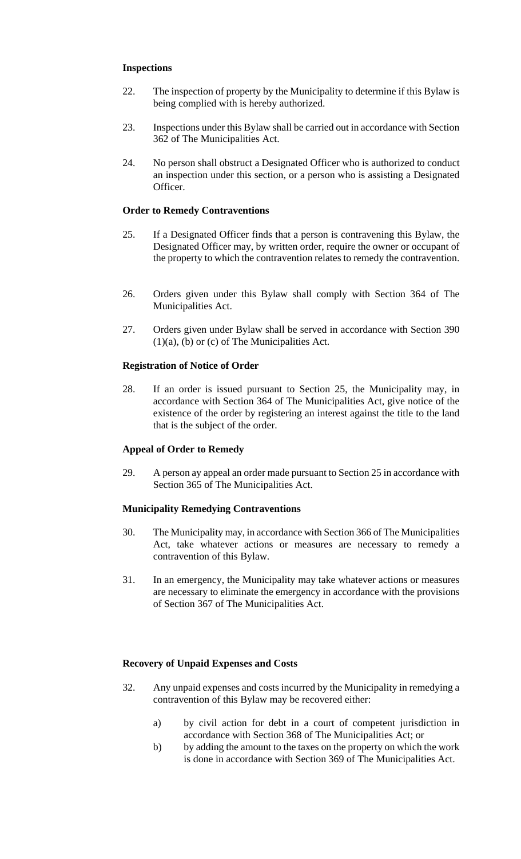# **Inspections**

- 22. The inspection of property by the Municipality to determine if this Bylaw is being complied with is hereby authorized.
- 23. Inspections under this Bylaw shall be carried out in accordance with Section 362 of The Municipalities Act.
- 24. No person shall obstruct a Designated Officer who is authorized to conduct an inspection under this section, or a person who is assisting a Designated Officer.

# **Order to Remedy Contraventions**

- 25. If a Designated Officer finds that a person is contravening this Bylaw, the Designated Officer may, by written order, require the owner or occupant of the property to which the contravention relates to remedy the contravention.
- 26. Orders given under this Bylaw shall comply with Section 364 of The Municipalities Act.
- 27. Orders given under Bylaw shall be served in accordance with Section 390 (1)(a), (b) or (c) of The Municipalities Act.

## **Registration of Notice of Order**

28. If an order is issued pursuant to Section 25, the Municipality may, in accordance with Section 364 of The Municipalities Act, give notice of the existence of the order by registering an interest against the title to the land that is the subject of the order.

## **Appeal of Order to Remedy**

29. A person ay appeal an order made pursuant to Section 25 in accordance with Section 365 of The Municipalities Act.

## **Municipality Remedying Contraventions**

- 30. The Municipality may, in accordance with Section 366 of The Municipalities Act, take whatever actions or measures are necessary to remedy a contravention of this Bylaw.
- 31. In an emergency, the Municipality may take whatever actions or measures are necessary to eliminate the emergency in accordance with the provisions of Section 367 of The Municipalities Act.

## **Recovery of Unpaid Expenses and Costs**

- 32. Any unpaid expenses and costs incurred by the Municipality in remedying a contravention of this Bylaw may be recovered either:
	- a) by civil action for debt in a court of competent jurisdiction in accordance with Section 368 of The Municipalities Act; or
	- b) by adding the amount to the taxes on the property on which the work is done in accordance with Section 369 of The Municipalities Act.